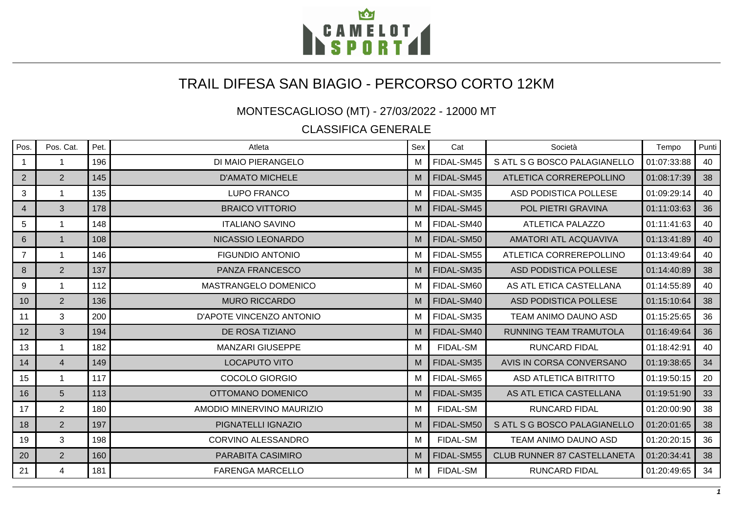

## TRAIL DIFESA SAN BIAGIO - PERCORSO CORTO 12KM

MONTESCAGLIOSO (MT) - 27/03/2022 - 12000 MT

CLASSIFICA GENERALE

| Pos.           | Pos. Cat.      | Pet. | Atleta                    | Sex | Cat             | Società                            | Tempo       | Punti |
|----------------|----------------|------|---------------------------|-----|-----------------|------------------------------------|-------------|-------|
|                |                | 196  | DI MAIO PIERANGELO        | м   | FIDAL-SM45      | SATL SG BOSCO PALAGIANELLO         | 01:07:33:88 | 40    |
| $\overline{2}$ | $\overline{2}$ | 145  | <b>D'AMATO MICHELE</b>    | M   | FIDAL-SM45      | ATLETICA CORREREPOLLINO            | 01:08:17:39 | 38    |
| 3              |                | 135  | <b>LUPO FRANCO</b>        | м   | FIDAL-SM35      | ASD PODISTICA POLLESE              | 01:09:29:14 | 40    |
| $\overline{4}$ | 3              | 178  | <b>BRAICO VITTORIO</b>    | M   | FIDAL-SM45      | POL PIETRI GRAVINA                 | 01:11:03:63 | 36    |
| 5              | 1              | 148  | <b>ITALIANO SAVINO</b>    | M   | FIDAL-SM40      | <b>ATLETICA PALAZZO</b>            | 01:11:41:63 | 40    |
| 6              |                | 108  | NICASSIO LEONARDO         | M   | FIDAL-SM50      | <b>AMATORI ATL ACQUAVIVA</b>       | 01:13:41:89 | 40    |
| $\overline{7}$ |                | 146  | <b>FIGUNDIO ANTONIO</b>   | м   | FIDAL-SM55      | ATLETICA CORREREPOLLINO            | 01:13:49:64 | 40    |
| 8              | $\overline{2}$ | 137  | <b>PANZA FRANCESCO</b>    | M   | FIDAL-SM35      | ASD PODISTICA POLLESE              | 01:14:40:89 | 38    |
| 9              |                | 112  | MASTRANGELO DOMENICO      | M   | FIDAL-SM60      | AS ATL ETICA CASTELLANA            | 01:14:55:89 | 40    |
| 10             | $\overline{2}$ | 136  | <b>MURO RICCARDO</b>      | M   | FIDAL-SM40      | ASD PODISTICA POLLESE              | 01:15:10:64 | 38    |
| 11             | 3              | 200  | D'APOTE VINCENZO ANTONIO  | м   | FIDAL-SM35      | TEAM ANIMO DAUNO ASD               | 01:15:25:65 | 36    |
| 12             | 3              | 194  | DE ROSA TIZIANO           | M   | FIDAL-SM40      | <b>RUNNING TEAM TRAMUTOLA</b>      | 01:16:49:64 | 36    |
| 13             | 1              | 182  | <b>MANZARI GIUSEPPE</b>   | м   | <b>FIDAL-SM</b> | <b>RUNCARD FIDAL</b>               | 01:18:42:91 | 40    |
| 14             | $\overline{4}$ | 149  | <b>LOCAPUTO VITO</b>      | M   | FIDAL-SM35      | AVIS IN CORSA CONVERSANO           | 01:19:38:65 | 34    |
| 15             | 1              | 117  | COCOLO GIORGIO            | M   | FIDAL-SM65      | <b>ASD ATLETICA BITRITTO</b>       | 01:19:50:15 | 20    |
| 16             | 5              | 113  | OTTOMANO DOMENICO         | M   | FIDAL-SM35      | AS ATL ETICA CASTELLANA            | 01:19:51:90 | 33    |
| 17             | $\overline{2}$ | 180  | AMODIO MINERVINO MAURIZIO | м   | <b>FIDAL-SM</b> | <b>RUNCARD FIDAL</b>               | 01:20:00:90 | 38    |
| 18             | $\overline{2}$ | 197  | PIGNATELLI IGNAZIO        | M   | FIDAL-SM50      | S ATL S G BOSCO PALAGIANELLO       | 01:20:01:65 | 38    |
| 19             | 3              | 198  | CORVINO ALESSANDRO        | M   | <b>FIDAL-SM</b> | TEAM ANIMO DAUNO ASD               | 01:20:20:15 | 36    |
| 20             | $\overline{2}$ | 160  | PARABITA CASIMIRO         | M   | FIDAL-SM55      | <b>CLUB RUNNER 87 CASTELLANETA</b> | 01:20:34:41 | 38    |
| 21             | 4              | 181  | <b>FARENGA MARCELLO</b>   | M   | <b>FIDAL-SM</b> | <b>RUNCARD FIDAL</b>               | 01:20:49:65 | 34    |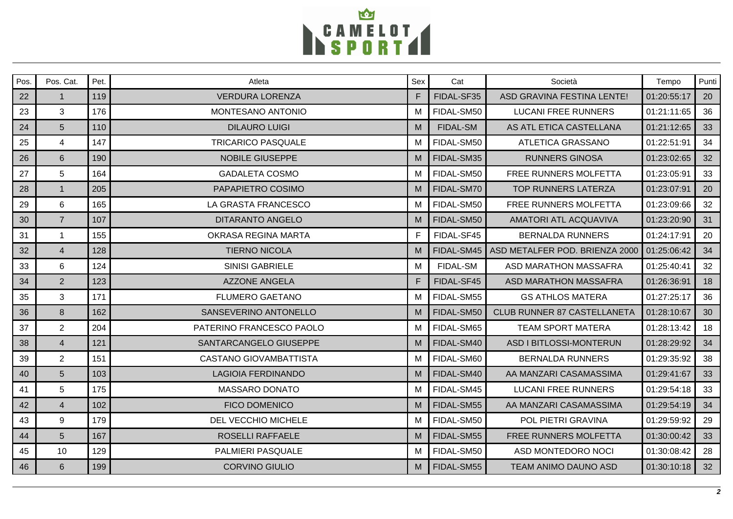

| Pos. | Pos. Cat.      | Pet. | Atleta                    | Sex | Cat             | Società                            | Tempo       | Punti |
|------|----------------|------|---------------------------|-----|-----------------|------------------------------------|-------------|-------|
| 22   | $\mathbf{1}$   | 119  | <b>VERDURA LORENZA</b>    | F   | FIDAL-SF35      | ASD GRAVINA FESTINA LENTE!         | 01:20:55:17 | 20    |
| 23   | 3              | 176  | MONTESANO ANTONIO         | M   | FIDAL-SM50      | <b>LUCANI FREE RUNNERS</b>         | 01:21:11:65 | 36    |
| 24   | 5 <sup>5</sup> | 110  | <b>DILAURO LUIGI</b>      | M   | <b>FIDAL-SM</b> | AS ATL ETICA CASTELLANA            | 01:21:12:65 | 33    |
| 25   | $\overline{4}$ | 147  | <b>TRICARICO PASQUALE</b> | м   | FIDAL-SM50      | ATLETICA GRASSANO                  | 01:22:51:91 | 34    |
| 26   | 6              | 190  | <b>NOBILE GIUSEPPE</b>    | M   | FIDAL-SM35      | <b>RUNNERS GINOSA</b>              | 01:23:02:65 | 32    |
| 27   | 5              | 164  | <b>GADALETA COSMO</b>     | M   | FIDAL-SM50      | FREE RUNNERS MOLFETTA              | 01:23:05:91 | 33    |
| 28   | $\mathbf{1}$   | 205  | PAPAPIETRO COSIMO         | M   | FIDAL-SM70      | <b>TOP RUNNERS LATERZA</b>         | 01:23:07:91 | 20    |
| 29   | 6              | 165  | LA GRASTA FRANCESCO       | м   | FIDAL-SM50      | FREE RUNNERS MOLFETTA              | 01:23:09:66 | 32    |
| 30   | $\overline{7}$ | 107  | <b>DITARANTO ANGELO</b>   | M   | FIDAL-SM50      | <b>AMATORI ATL ACQUAVIVA</b>       | 01:23:20:90 | 31    |
| 31   | $\mathbf{1}$   | 155  | OKRASA REGINA MARTA       | F   | FIDAL-SF45      | <b>BERNALDA RUNNERS</b>            | 01:24:17:91 | 20    |
| 32   | $\overline{4}$ | 128  | <b>TIERNO NICOLA</b>      | M   | FIDAL-SM45      | ASD METALFER POD. BRIENZA 2000     | 01:25:06:42 | 34    |
| 33   | 6              | 124  | <b>SINISI GABRIELE</b>    | M   | <b>FIDAL-SM</b> | ASD MARATHON MASSAFRA              | 01:25:40:41 | 32    |
| 34   | $2^{\circ}$    | 123  | <b>AZZONE ANGELA</b>      | F   | FIDAL-SF45      | ASD MARATHON MASSAFRA              | 01:26:36:91 | 18    |
| 35   | 3              | 171  | <b>FLUMERO GAETANO</b>    | м   | FIDAL-SM55      | <b>GS ATHLOS MATERA</b>            | 01:27:25:17 | 36    |
| 36   | 8              | 162  | SANSEVERINO ANTONELLO     | M   | FIDAL-SM50      | <b>CLUB RUNNER 87 CASTELLANETA</b> | 01:28:10:67 | 30    |
| 37   | $\overline{2}$ | 204  | PATERINO FRANCESCO PAOLO  | M   | FIDAL-SM65      | <b>TEAM SPORT MATERA</b>           | 01:28:13:42 | 18    |
| 38   | $\overline{4}$ | 121  | SANTARCANGELO GIUSEPPE    | M   | FIDAL-SM40      | <b>ASD I BITLOSSI-MONTERUN</b>     | 01:28:29:92 | 34    |
| 39   | $\overline{2}$ | 151  | CASTANO GIOVAMBATTISTA    | M   | FIDAL-SM60      | <b>BERNALDA RUNNERS</b>            | 01:29:35:92 | 38    |
| 40   | 5 <sup>5</sup> | 103  | <b>LAGIOIA FERDINANDO</b> | M   | FIDAL-SM40      | AA MANZARI CASAMASSIMA             | 01:29:41:67 | 33    |
| 41   | 5              | 175  | MASSARO DONATO            | M   | FIDAL-SM45      | <b>LUCANI FREE RUNNERS</b>         | 01:29:54:18 | 33    |
| 42   | $\overline{4}$ | 102  | <b>FICO DOMENICO</b>      | M   | FIDAL-SM55      | AA MANZARI CASAMASSIMA             | 01:29:54:19 | 34    |
| 43   | 9              | 179  | DEL VECCHIO MICHELE       | м   | FIDAL-SM50      | POL PIETRI GRAVINA                 | 01:29:59:92 | 29    |
| 44   | 5 <sup>5</sup> | 167  | ROSELLI RAFFAELE          | M   | FIDAL-SM55      | FREE RUNNERS MOLFETTA              | 01:30:00:42 | 33    |
| 45   | 10             | 129  | <b>PALMIERI PASQUALE</b>  | м   | FIDAL-SM50      | ASD MONTEDORO NOCI                 | 01:30:08:42 | 28    |
| 46   | 6              | 199  | <b>CORVINO GIULIO</b>     | M   | FIDAL-SM55      | <b>TEAM ANIMO DAUNO ASD</b>        | 01:30:10:18 | 32    |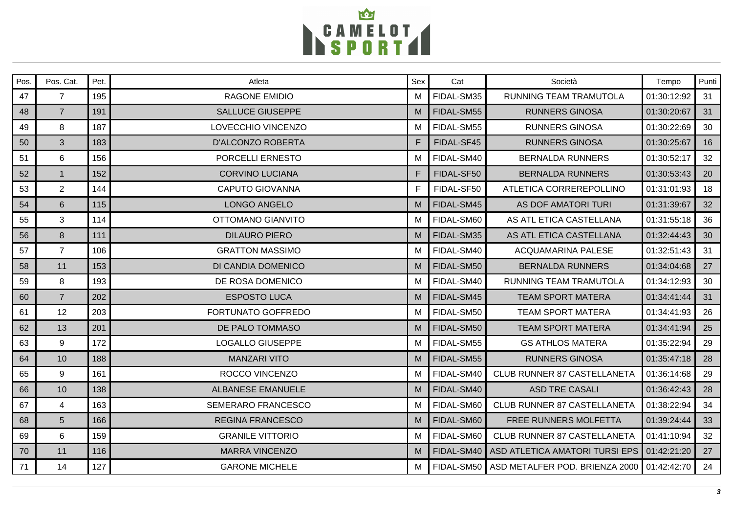

| Pos. | Pos. Cat.      | Pet. | Atleta                    | Sex | Cat        | Società                            | Tempo       | Punti |
|------|----------------|------|---------------------------|-----|------------|------------------------------------|-------------|-------|
| 47   | $\overline{7}$ | 195  | <b>RAGONE EMIDIO</b>      | M   | FIDAL-SM35 | RUNNING TEAM TRAMUTOLA             | 01:30:12:92 | 31    |
| 48   | $\overline{7}$ | 191  | <b>SALLUCE GIUSEPPE</b>   | M   | FIDAL-SM55 | <b>RUNNERS GINOSA</b>              | 01:30:20:67 | 31    |
| 49   | 8              | 187  | LOVECCHIO VINCENZO        | M   | FIDAL-SM55 | <b>RUNNERS GINOSA</b>              | 01:30:22:69 | 30    |
| 50   | 3              | 183  | D'ALCONZO ROBERTA         | F   | FIDAL-SF45 | <b>RUNNERS GINOSA</b>              | 01:30:25:67 | 16    |
| 51   | $6\phantom{1}$ | 156  | PORCELLI ERNESTO          | м   | FIDAL-SM40 | <b>BERNALDA RUNNERS</b>            | 01:30:52:17 | 32    |
| 52   | $\overline{1}$ | 152  | <b>CORVINO LUCIANA</b>    | F   | FIDAL-SF50 | <b>BERNALDA RUNNERS</b>            | 01:30:53:43 | 20    |
| 53   | $\overline{2}$ | 144  | CAPUTO GIOVANNA           |     | FIDAL-SF50 | ATLETICA CORREREPOLLINO            | 01:31:01:93 | 18    |
| 54   | 6              | 115  | LONGO ANGELO              | M   | FIDAL-SM45 | <b>AS DOF AMATORI TURI</b>         | 01:31:39:67 | 32    |
| 55   | 3              | 114  | <b>OTTOMANO GIANVITO</b>  | M   | FIDAL-SM60 | AS ATL ETICA CASTELLANA            | 01:31:55:18 | 36    |
| 56   | 8              | 111  | <b>DILAURO PIERO</b>      | M   | FIDAL-SM35 | AS ATL ETICA CASTELLANA            | 01:32:44:43 | 30    |
| 57   | $\overline{7}$ | 106  | <b>GRATTON MASSIMO</b>    | м   | FIDAL-SM40 | <b>ACQUAMARINA PALESE</b>          | 01:32:51:43 | 31    |
| 58   | 11             | 153  | DI CANDIA DOMENICO        | M   | FIDAL-SM50 | <b>BERNALDA RUNNERS</b>            | 01:34:04:68 | 27    |
| 59   | 8              | 193  | DE ROSA DOMENICO          | M   | FIDAL-SM40 | RUNNING TEAM TRAMUTOLA             | 01:34:12:93 | 30    |
| 60   | $\overline{7}$ | 202  | <b>ESPOSTO LUCA</b>       | M   | FIDAL-SM45 | <b>TEAM SPORT MATERA</b>           | 01:34:41:44 | 31    |
| 61   | 12             | 203  | FORTUNATO GOFFREDO        | M   | FIDAL-SM50 | <b>TEAM SPORT MATERA</b>           | 01:34:41:93 | 26    |
| 62   | 13             | 201  | DE PALO TOMMASO           | M   | FIDAL-SM50 | <b>TEAM SPORT MATERA</b>           | 01:34:41:94 | 25    |
| 63   | 9              | 172  | <b>LOGALLO GIUSEPPE</b>   | M   | FIDAL-SM55 | <b>GS ATHLOS MATERA</b>            | 01:35:22:94 | 29    |
| 64   | 10             | 188  | <b>MANZARI VITO</b>       | M   | FIDAL-SM55 | <b>RUNNERS GINOSA</b>              | 01:35:47:18 | 28    |
| 65   | 9              | 161  | ROCCO VINCENZO            | M   | FIDAL-SM40 | <b>CLUB RUNNER 87 CASTELLANETA</b> | 01:36:14:68 | 29    |
| 66   | 10             | 138  | <b>ALBANESE EMANUELE</b>  | M   | FIDAL-SM40 | <b>ASD TRE CASALI</b>              | 01:36:42:43 | 28    |
| 67   | $\overline{4}$ | 163  | <b>SEMERARO FRANCESCO</b> | м   | FIDAL-SM60 | <b>CLUB RUNNER 87 CASTELLANETA</b> | 01:38:22:94 | 34    |
| 68   | $5\phantom{.}$ | 166  | <b>REGINA FRANCESCO</b>   | M   | FIDAL-SM60 | FREE RUNNERS MOLFETTA              | 01:39:24:44 | 33    |
| 69   | 6              | 159  | <b>GRANILE VITTORIO</b>   | м   | FIDAL-SM60 | CLUB RUNNER 87 CASTELLANETA        | 01:41:10:94 | 32    |
| 70   | 11             | 116  | <b>MARRA VINCENZO</b>     | M   | FIDAL-SM40 | ASD ATLETICA AMATORI TURSI EPS     | 01:42:21:20 | 27    |
| 71   | 14             | 127  | <b>GARONE MICHELE</b>     | М   | FIDAL-SM50 | ASD METALFER POD. BRIENZA 2000     | 01:42:42:70 | 24    |